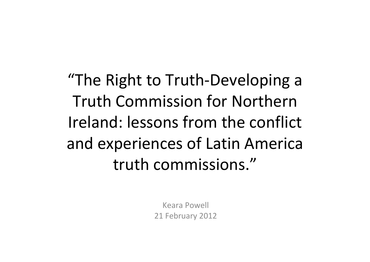"The Right to Truth‐Developing <sup>a</sup> Truth Commission for Northern Ireland: lessons from the conflict and experiences of Latin America truth commissions."

> Keara Powell 21 February 2012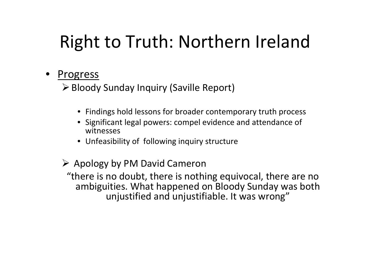## Right to Truth: Northern Ireland

#### **Progress**

Bloody Sunday Inquiry (Saville Report)

- Findings hold lessons for broader contemporary truth process
- Significant legal powers: compel evidence and attendance of witnesses
- Unfeasibility of following inquiry structure
- $\triangleright$  Apology by PM David Cameron

"there is no doubt, there is nothing equivocal, there are no ambiguities. What happened on Bloody Sunday was both unjustified and unjustifiable. It was wrong"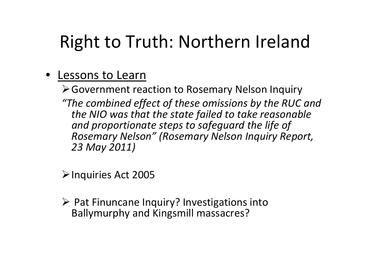## Right to Truth: Northern Ireland

#### • Lessons to Learn

Government reaction to Rosemary Nelson Inquiry

*"The combined effect of these omissions by the RUC and the NIO was that the state failed to take reasonable and proportionate steps to safeguard the life of Rosemary Nelson" (Rosemary Nelson Inquiry Report, 23 May 2011)*

 $\triangleright$  Inquiries Act 2005

 $\triangleright$  Pat Finuncane Inquiry? Investigations into Ballymurphy and Kingsmill massacres?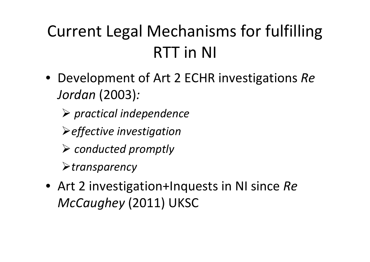## Current Legal Mechanisms for fulfilling RTT in NI

- Development of Art 2 ECHR investigations *Re Jordan* (2003)*:*
	- *practical independence*
	- *effective investigation*
	- *conducted promptly*
	- *transparency*
- Art 2 investigation+Inquests in NI since *Re McCaughey* (2011) UKSC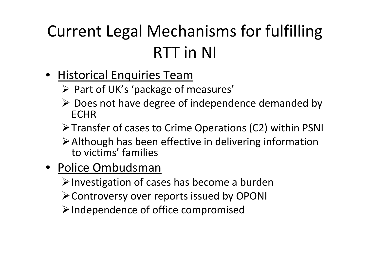### Current Legal Mechanisms for fulfilling RTT in NI

- Historical Enquiries Team
	- Part of UK's 'package of measures'
	- $\triangleright$  Does not have degree of independence demanded by **FCHR**
	- Transfer of cases to Crime Operations (C2) within PSNI
	- Although has been effective in delivering information to victims' families
- Police Ombudsman
	- $\triangleright$  Investigation of cases has become a burden
	- Controversy over reports issued by OPONI
	- $\triangleright$  Independence of office compromised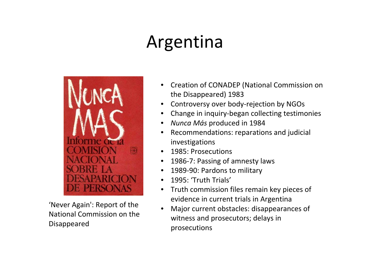## Argentina



'Never Again': Report of the National Commission on the Disappeared

- Creation of CONADEP (National Commission on the Disappeared) 1983
- Controversy over body‐rejection by NGOs
- Change in inquiry‐began collecting testimonies
- *Nunca Más* produced in 1984
- Recommendations: reparations and judicial investigations
- 1985: Prosecutions
- 1986‐7: Passing of amnesty laws
- 1989‐90: Pardons to military
- 1995: 'Truth Trials'
- Truth commission files remain key pieces of evidence in current trials in Argentina
- Major current obstacles: disappearances of witness and prosecutors; delays in prosecutions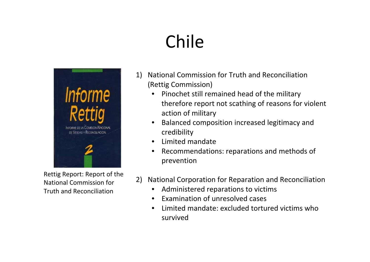# Chile



Rettig Report: Report of the National Commission for Truth and Reconciliation

- 1) National Commission for Truth and Reconciliation (Rettig Commission)
	- Pinochet still remained head of the military therefore report not scathing of reasons for violent action of military
	- Balanced composition increased legitimacy and credibility
	- Limited mandate
	- Recommendations: reparations and methods of prevention
- 2) National Corporation for Reparation and Reconciliation
	- Administered reparations to victims
	- Examination of unresolved cases
	- Limited mandate: excluded tortured victims whosurvived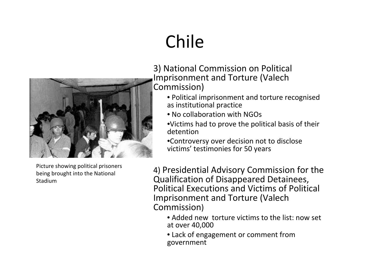# Chile



Picture showing political prisoners being brought into the National Stadium

3) National Commission on Political Imprisonment and Torture (Valech Commission)

- Political imprisonment and torture recognised as institutional practice
- No collaboration with NGOs
- •Victims had to prove the political basis of their detention
- •Controversy over decision not to disclose victims' testimonies for 50 years

4) Presidential Advisory Commission for the Qualification of Disappeared Detainees, Political Executions and Victims of Political Imprisonment and Torture (Valech Commission)

- Added new torture victims to the list: now set at over 40,000
- Lack of engagement or comment from government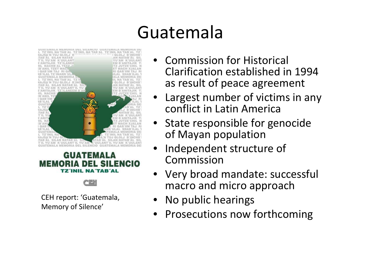#### Guatemala





CEH report: 'Guatemala, Memory of Silence'

- Commission for Historical Clarification established in 1994 as result of peace agreement
- Largest number of victims in any conflict in Latin America
- State responsible for genocide of Mayan population
- Independent structure of Commission
- Very broad mandate: successful macro and micro approach
- No public hearings
- Prosecutions now forthcoming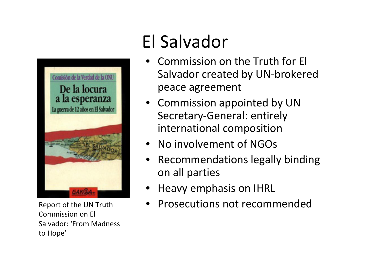

Commission on El Salvador: 'From Madness to Hope'

## El Salvador

- Commission on the Truth for El Salvador created by UN‐brokered peace agreement
- Commission appointed by UN Secretary‐General: entirely international composition
- No involvement of NGOs
- Recommendations legally binding on all parties
- Heavy emphasis on IHRL
- Report of the UN Truth Prosecutions not recommended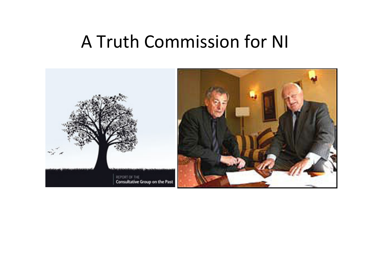#### A Truth Commission for NI

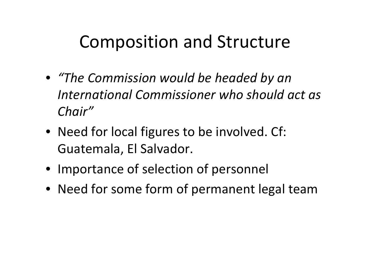#### Composition and Structure

- *"The Commission would be headed by an International Commissioner who should act as Chair"*
- Need for local figures to be involved. Cf: Guatemala, El Salvador.
- Importance of selection of personnel
- Need for some form of permanent legal team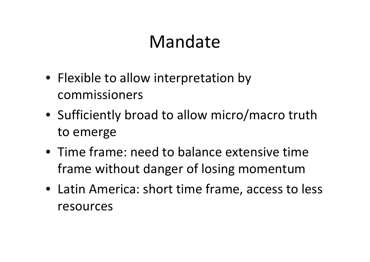#### Mandate

- Flexible to allow interpretation by commissioners
- Sufficiently broad to allow micro/macro truth to emerge
- Time frame: need to balance extensive time frame without danger of losing momentum
- Latin America: short time frame, access to less resources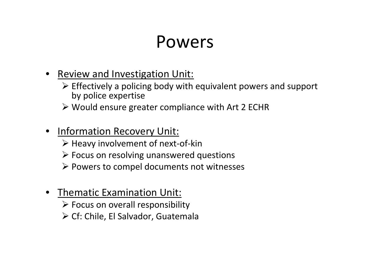#### Powers

#### **•** Review and Investigation Unit:

- $\triangleright$  Effectively a policing body with equivalent powers and support by police expertise
- Would ensure greater compliance with Art 2 ECHR
- Information Recovery Unit:
	- Heavy involvement of next‐of‐kin
	- Focus on resolving unanswered questions
	- $\triangleright$  Powers to compel documents not witnesses

#### • Thematic Examination Unit:

- $\triangleright$  Focus on overall responsibility
- Cf: Chile, El Salvador, Guatemala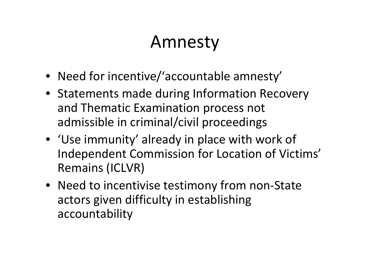#### Amnesty

- Need for incentive/'accountable amnesty'
- Statements made during Information Recovery and Thematic Examination process not admissible in criminal/civil proceedings
- 'Use immunity' already in place with work of Independent Commission for Location of Victims' Remains (ICLVR)
- Need to incentivise testimony from non‐State actors given difficulty in establishing accountability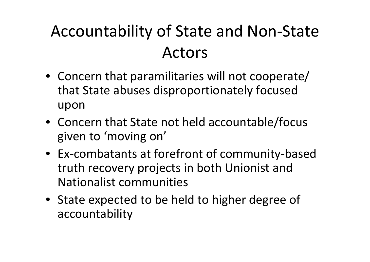#### Accountability of State and Non ‐State Actors

- Concern that paramilitaries will not cooperate/ that State abuses disproportionately focused upon
- Concern that State not held accountable/focus given to 'moving on'
- Ex ‐combatants at forefront of community ‐based truth recovery projects in both Unionist and Nationalist communities
- State expected to be held to higher degree of accountability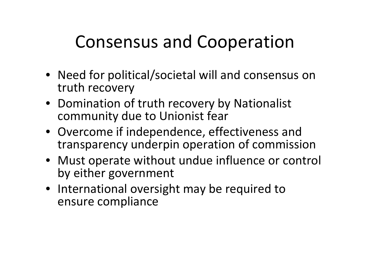## Consensus and Cooperation

- Need for political/societal will and consensus on truth recovery
- Domination of truth recovery by Nationalist community due to Unionist fear
- Overcome if independence, effectiveness and transparency underpin operation of commission
- Must operate without undue influence or control by either government
- International oversight may be required to ensure compliance